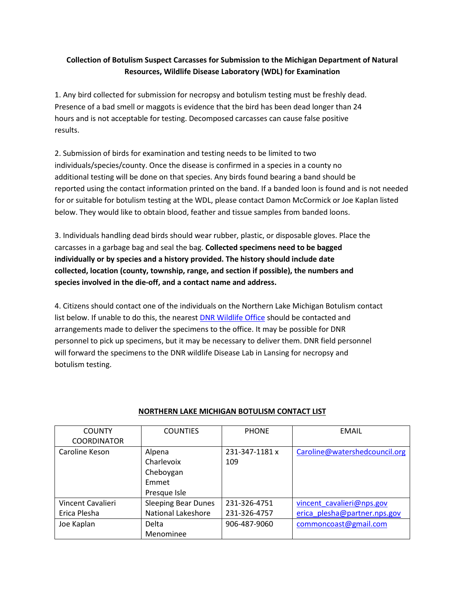## **Collection of Botulism Suspect Carcasses for Submission to the Michigan Department of Natural Resources, Wildlife Disease Laboratory (WDL) for Examination**

1. Any bird collected for submission for necropsy and botulism testing must be freshly dead. Presence of a bad smell or maggots is evidence that the bird has been dead longer than 24 hours and is not acceptable for testing. Decomposed carcasses can cause false positive results.

2. Submission of birds for examination and testing needs to be limited to two individuals/species/county. Once the disease is confirmed in a species in a county no additional testing will be done on that species. Any birds found bearing a band should be reported using the contact information printed on the band. If a banded loon is found and is not needed for or suitable for botulism testing at the WDL, please contact Damon McCormick or Joe Kaplan listed below. They would like to obtain blood, feather and tissue samples from banded loons.

3. Individuals handling dead birds should wear rubber, plastic, or disposable gloves. Place the carcasses in a garbage bag and seal the bag. **Collected specimens need to be bagged individually or by species and a history provided. The history should include date collected, location (county, township, range, and section if possible), the numbers and species involved in the die-off, and a contact name and address.**

4. Citizens should contact one of the individuals on the Northern Lake Michigan Botulism contact list below. If unable to do this, the nearest [DNR Wildlife Office](https://www.michigan.gov/dnr/0,4570,7-350-79137_79765_84005_81259-32867--,00.html) should be contacted and arrangements made to deliver the specimens to the office. It may be possible for DNR personnel to pick up specimens, but it may be necessary to deliver them. DNR field personnel will forward the specimens to the DNR wildlife Disease Lab in Lansing for necropsy and botulism testing.

| <b>COUNTY</b>      | <b>COUNTIES</b>            | <b>PHONE</b>   | EMAIL                         |
|--------------------|----------------------------|----------------|-------------------------------|
| <b>COORDINATOR</b> |                            |                |                               |
| Caroline Keson     | Alpena                     | 231-347-1181 x | Caroline@watershedcouncil.org |
|                    | Charlevoix                 | 109            |                               |
|                    | Cheboygan                  |                |                               |
|                    | Emmet                      |                |                               |
|                    | Presque Isle               |                |                               |
| Vincent Cavalieri  | <b>Sleeping Bear Dunes</b> | 231-326-4751   | vincent cavalieri@nps.gov     |
| Erica Plesha       | <b>National Lakeshore</b>  | 231-326-4757   | erica plesha@partner.nps.gov  |
| Joe Kaplan         | Delta                      | 906-487-9060   | commoncoast@gmail.com         |
|                    | Menominee                  |                |                               |

## **NORTHERN LAKE MICHIGAN BOTULISM CONTACT LIST**